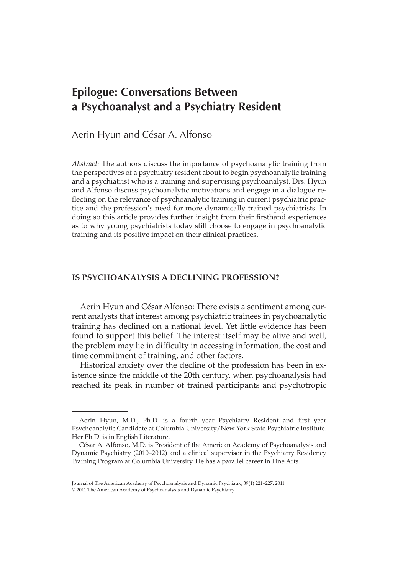# **Epilogue: Conversations Between a Psychoanalyst and a Psychiatry Resident**

## Aerin Hyun and César A. Alfonso

*Abstract:* The authors discuss the importance of psychoanalytic training from the perspectives of a psychiatry resident about to begin psychoanalytic training and a psychiatrist who is a training and supervising psychoanalyst. Drs. Hyun and Alfonso discuss psychoanalytic motivations and engage in a dialogue reflecting on the relevance of psychoanalytic training in current psychiatric practice and the profession's need for more dynamically trained psychiatrists. In doing so this article provides further insight from their firsthand experiences as to why young psychiatrists today still choose to engage in psychoanalytic training and its positive impact on their clinical practices.

### **Is Psychoanalysis a Declining Profession?**

Aerin Hyun and César Alfonso: There exists a sentiment among current analysts that interest among psychiatric trainees in psychoanalytic training has declined on a national level. Yet little evidence has been found to support this belief. The interest itself may be alive and well, the problem may lie in difficulty in accessing information, the cost and time commitment of training, and other factors.

Historical anxiety over the decline of the profession has been in existence since the middle of the 20th century, when psychoanalysis had reached its peak in number of trained participants and psychotropic

Aerin Hyun, M.D., Ph.D. is a fourth year Psychiatry Resident and first year Psychoanalytic Candidate at Columbia University/New York State Psychiatric Institute. Her Ph.D. is in English Literature.

César A. Alfonso, M.D. is President of the American Academy of Psychoanalysis and Dynamic Psychiatry (2010–2012) and a clinical supervisor in the Psychiatry Residency Training Program at Columbia University. He has a parallel career in Fine Arts.

Journal of The American Academy of Psychoanalysis and Dynamic Psychiatry, 39(1) 221–227, 2011 © 2011 The American Academy of Psychoanalysis and Dynamic Psychiatry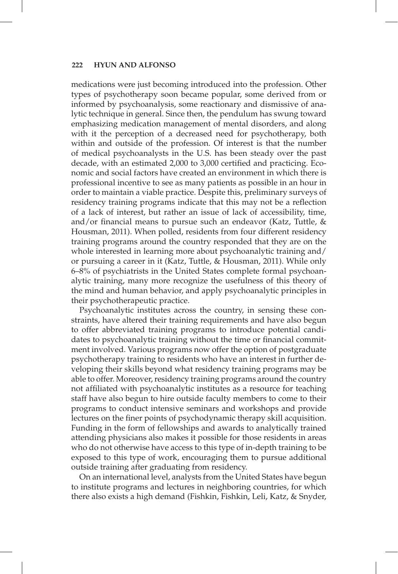#### **222 HYUN AND ALFONSO**

medications were just becoming introduced into the profession. Other types of psychotherapy soon became popular, some derived from or informed by psychoanalysis, some reactionary and dismissive of analytic technique in general. Since then, the pendulum has swung toward emphasizing medication management of mental disorders, and along with it the perception of a decreased need for psychotherapy, both within and outside of the profession. Of interest is that the number of medical psychoanalysts in the U.S. has been steady over the past decade, with an estimated 2,000 to 3,000 certified and practicing. Economic and social factors have created an environment in which there is professional incentive to see as many patients as possible in an hour in order to maintain a viable practice. Despite this, preliminary surveys of residency training programs indicate that this may not be a reflection of a lack of interest, but rather an issue of lack of accessibility, time, and/or financial means to pursue such an endeavor (Katz, Tuttle, & Housman, 2011). When polled, residents from four different residency training programs around the country responded that they are on the whole interested in learning more about psychoanalytic training and/ or pursuing a career in it (Katz, Tuttle, & Housman, 2011). While only 6–8% of psychiatrists in the United States complete formal psychoanalytic training, many more recognize the usefulness of this theory of the mind and human behavior, and apply psychoanalytic principles in their psychotherapeutic practice.

Psychoanalytic institutes across the country, in sensing these constraints, have altered their training requirements and have also begun to offer abbreviated training programs to introduce potential candidates to psychoanalytic training without the time or financial commitment involved. Various programs now offer the option of postgraduate psychotherapy training to residents who have an interest in further developing their skills beyond what residency training programs may be able to offer. Moreover, residency training programs around the country not affiliated with psychoanalytic institutes as a resource for teaching staff have also begun to hire outside faculty members to come to their programs to conduct intensive seminars and workshops and provide lectures on the finer points of psychodynamic therapy skill acquisition. Funding in the form of fellowships and awards to analytically trained attending physicians also makes it possible for those residents in areas who do not otherwise have access to this type of in-depth training to be exposed to this type of work, encouraging them to pursue additional outside training after graduating from residency.

On an international level, analysts from the United States have begun to institute programs and lectures in neighboring countries, for which there also exists a high demand (Fishkin, Fishkin, Leli, Katz, & Snyder,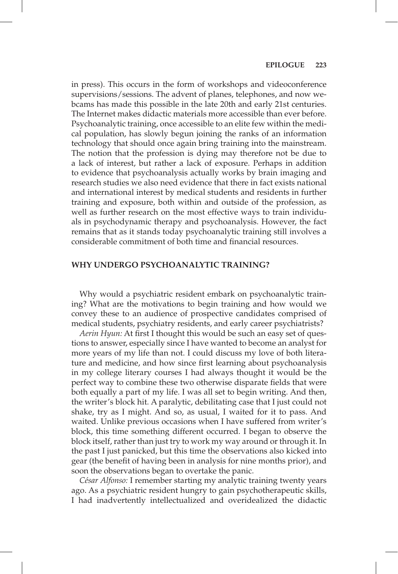in press). This occurs in the form of workshops and videoconference supervisions/sessions. The advent of planes, telephones, and now webcams has made this possible in the late 20th and early 21st centuries. The Internet makes didactic materials more accessible than ever before. Psychoanalytic training, once accessible to an elite few within the medical population, has slowly begun joining the ranks of an information technology that should once again bring training into the mainstream. The notion that the profession is dying may therefore not be due to a lack of interest, but rather a lack of exposure. Perhaps in addition to evidence that psychoanalysis actually works by brain imaging and research studies we also need evidence that there in fact exists national and international interest by medical students and residents in further training and exposure, both within and outside of the profession, as well as further research on the most effective ways to train individuals in psychodynamic therapy and psychoanalysis. However, the fact remains that as it stands today psychoanalytic training still involves a considerable commitment of both time and financial resources.

#### **Why undergo Psychoanalytic training?**

Why would a psychiatric resident embark on psychoanalytic training? What are the motivations to begin training and how would we convey these to an audience of prospective candidates comprised of medical students, psychiatry residents, and early career psychiatrists?

*Aerin Hyun:* At first I thought this would be such an easy set of questions to answer, especially since I have wanted to become an analyst for more years of my life than not. I could discuss my love of both literature and medicine, and how since first learning about psychoanalysis in my college literary courses I had always thought it would be the perfect way to combine these two otherwise disparate fields that were both equally a part of my life. I was all set to begin writing. And then, the writer's block hit. A paralytic, debilitating case that I just could not shake, try as I might. And so, as usual, I waited for it to pass. And waited. Unlike previous occasions when I have suffered from writer's block, this time something different occurred. I began to observe the block itself, rather than just try to work my way around or through it. In the past I just panicked, but this time the observations also kicked into gear (the benefit of having been in analysis for nine months prior), and soon the observations began to overtake the panic.

*César Alfonso:* I remember starting my analytic training twenty years ago. As a psychiatric resident hungry to gain psychotherapeutic skills, I had inadvertently intellectualized and overidealized the didactic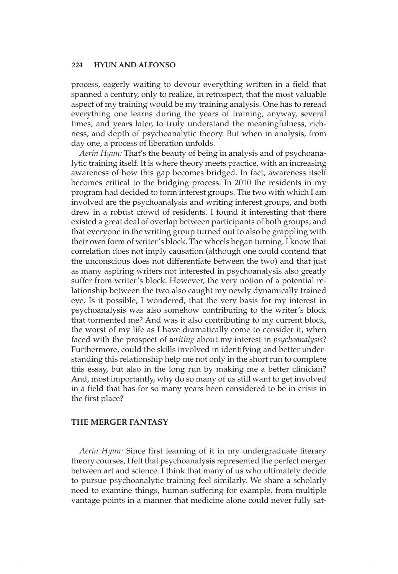#### **224 HYUN AND ALFONSO**

process, eagerly waiting to devour everything written in a field that spanned a century, only to realize, in retrospect, that the most valuable aspect of my training would be my training analysis. One has to reread everything one learns during the years of training, anyway, several times, and years later, to truly understand the meaningfulness, richness, and depth of psychoanalytic theory. But when in analysis, from day one, a process of liberation unfolds.

*Aerin Hyun:* That's the beauty of being in analysis and of psychoanalytic training itself. It is where theory meets practice, with an increasing awareness of how this gap becomes bridged. In fact, awareness itself becomes critical to the bridging process. In 2010 the residents in my program had decided to form interest groups. The two with which I am involved are the psychoanalysis and writing interest groups, and both drew in a robust crowd of residents. I found it interesting that there existed a great deal of overlap between participants of both groups, and that everyone in the writing group turned out to also be grappling with their own form of writer's block. The wheels began turning. I know that correlation does not imply causation (although one could contend that the unconscious does not differentiate between the two) and that just as many aspiring writers not interested in psychoanalysis also greatly suffer from writer's block. However, the very notion of a potential relationship between the two also caught my newly dynamically trained eye. Is it possible, I wondered, that the very basis for my interest in psychoanalysis was also somehow contributing to the writer's block that tormented me? And was it also contributing to my current block, the worst of my life as I have dramatically come to consider it, when faced with the prospect of *writing* about my interest in *psychoanalysis*? Furthermore, could the skills involved in identifying and better understanding this relationship help me not only in the short run to complete this essay, but also in the long run by making me a better clinician? And, most importantly, why do so many of us still want to get involved in a field that has for so many years been considered to be in crisis in the first place?

#### **The Merger Fantasy**

*Aerin Hyun:* Since first learning of it in my undergraduate literary theory courses, I felt that psychoanalysis represented the perfect merger between art and science. I think that many of us who ultimately decide to pursue psychoanalytic training feel similarly. We share a scholarly need to examine things, human suffering for example, from multiple vantage points in a manner that medicine alone could never fully sat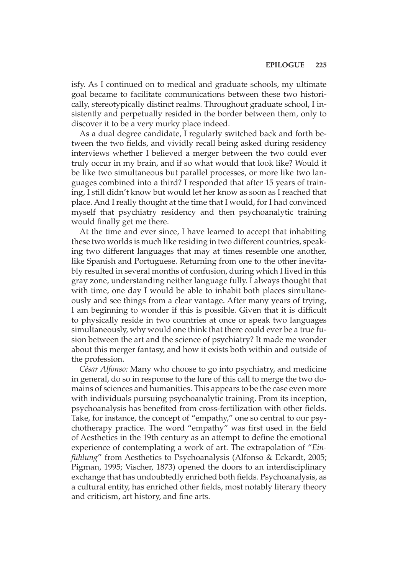isfy. As I continued on to medical and graduate schools, my ultimate goal became to facilitate communications between these two historically, stereotypically distinct realms. Throughout graduate school, I insistently and perpetually resided in the border between them, only to discover it to be a very murky place indeed.

As a dual degree candidate, I regularly switched back and forth between the two fields, and vividly recall being asked during residency interviews whether I believed a merger between the two could ever truly occur in my brain, and if so what would that look like? Would it be like two simultaneous but parallel processes, or more like two languages combined into a third? I responded that after 15 years of training, I still didn't know but would let her know as soon as I reached that place. And I really thought at the time that I would, for I had convinced myself that psychiatry residency and then psychoanalytic training would finally get me there.

At the time and ever since, I have learned to accept that inhabiting these two worlds is much like residing in two different countries, speaking two different languages that may at times resemble one another, like Spanish and Portuguese. Returning from one to the other inevitably resulted in several months of confusion, during which I lived in this gray zone, understanding neither language fully. I always thought that with time, one day I would be able to inhabit both places simultaneously and see things from a clear vantage. After many years of trying, I am beginning to wonder if this is possible. Given that it is difficult to physically reside in two countries at once or speak two languages simultaneously, why would one think that there could ever be a true fusion between the art and the science of psychiatry? It made me wonder about this merger fantasy, and how it exists both within and outside of the profession.

*César Alfonso:* Many who choose to go into psychiatry, and medicine in general, do so in response to the lure of this call to merge the two domains of sciences and humanities. This appears to be the case even more with individuals pursuing psychoanalytic training. From its inception, psychoanalysis has benefited from cross-fertilization with other fields. Take, for instance, the concept of "empathy," one so central to our psychotherapy practice. The word "empathy" was first used in the field of Aesthetics in the 19th century as an attempt to define the emotional experience of contemplating a work of art. The extrapolation of "*Einfühlung*" from Aesthetics to Psychoanalysis (Alfonso & Eckardt, 2005; Pigman, 1995; Vischer, 1873) opened the doors to an interdisciplinary exchange that has undoubtedly enriched both fields. Psychoanalysis, as a cultural entity, has enriched other fields, most notably literary theory and criticism, art history, and fine arts.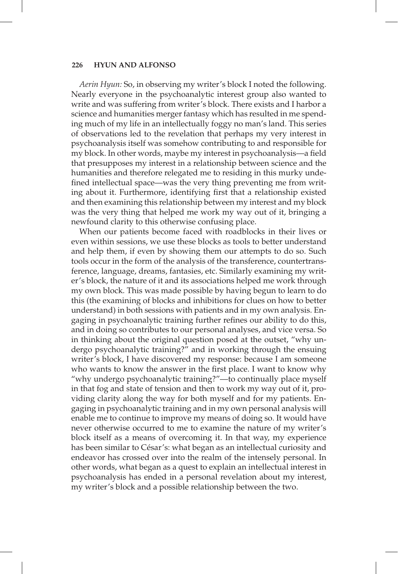#### **226 HYUN AND ALFONSO**

*Aerin Hyun:* So, in observing my writer's block I noted the following. Nearly everyone in the psychoanalytic interest group also wanted to write and was suffering from writer's block. There exists and I harbor a science and humanities merger fantasy which has resulted in me spending much of my life in an intellectually foggy no man's land. This series of observations led to the revelation that perhaps my very interest in psychoanalysis itself was somehow contributing to and responsible for my block. In other words, maybe my interest in psychoanalysis—a field that presupposes my interest in a relationship between science and the humanities and therefore relegated me to residing in this murky undefined intellectual space—was the very thing preventing me from writing about it. Furthermore, identifying first that a relationship existed and then examining this relationship between my interest and my block was the very thing that helped me work my way out of it, bringing a newfound clarity to this otherwise confusing place.

When our patients become faced with roadblocks in their lives or even within sessions, we use these blocks as tools to better understand and help them, if even by showing them our attempts to do so. Such tools occur in the form of the analysis of the transference, countertransference, language, dreams, fantasies, etc. Similarly examining my writer's block, the nature of it and its associations helped me work through my own block. This was made possible by having begun to learn to do this (the examining of blocks and inhibitions for clues on how to better understand) in both sessions with patients and in my own analysis. Engaging in psychoanalytic training further refines our ability to do this, and in doing so contributes to our personal analyses, and vice versa. So in thinking about the original question posed at the outset, "why undergo psychoanalytic training?" and in working through the ensuing writer's block, I have discovered my response: because I am someone who wants to know the answer in the first place. I want to know why "why undergo psychoanalytic training?"—to continually place myself in that fog and state of tension and then to work my way out of it, providing clarity along the way for both myself and for my patients. Engaging in psychoanalytic training and in my own personal analysis will enable me to continue to improve my means of doing so. It would have never otherwise occurred to me to examine the nature of my writer's block itself as a means of overcoming it. In that way, my experience has been similar to César's: what began as an intellectual curiosity and endeavor has crossed over into the realm of the intensely personal. In other words, what began as a quest to explain an intellectual interest in psychoanalysis has ended in a personal revelation about my interest, my writer's block and a possible relationship between the two.